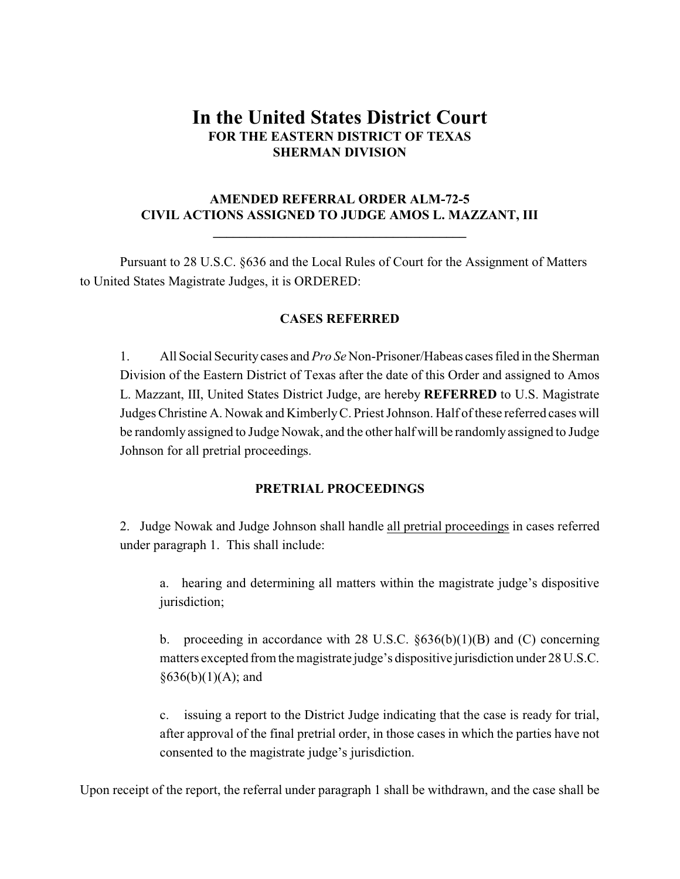# **In the United States District Court FOR THE EASTERN DISTRICT OF TEXAS SHERMAN DIVISION**

## **AMENDED REFERRAL ORDER ALM-72-5 CIVIL ACTIONS ASSIGNED TO JUDGE AMOS L. MAZZANT, III**

**\_\_\_\_\_\_\_\_\_\_\_\_\_\_\_\_\_\_\_\_\_\_\_\_\_\_\_\_\_\_\_\_\_\_\_\_\_\_**

Pursuant to 28 U.S.C. §636 and the Local Rules of Court for the Assignment of Matters to United States Magistrate Judges, it is ORDERED:

## **CASES REFERRED**

1. All Social Security cases and *Pro Se* Non-Prisoner/Habeas cases filed in the Sherman Division of the Eastern District of Texas after the date of this Order and assigned to Amos L. Mazzant, III, United States District Judge, are hereby **REFERRED** to U.S. Magistrate Judges Christine A. Nowak and KimberlyC. Priest Johnson. Half of these referred cases will be randomly assigned to Judge Nowak, and the other half will be randomly assigned to Judge Johnson for all pretrial proceedings.

#### **PRETRIAL PROCEEDINGS**

2. Judge Nowak and Judge Johnson shall handle all pretrial proceedings in cases referred under paragraph 1. This shall include:

a. hearing and determining all matters within the magistrate judge's dispositive jurisdiction;

b. proceeding in accordance with 28 U.S.C.  $\S 636(b)(1)(B)$  and (C) concerning matters excepted from the magistrate judge's dispositive jurisdiction under 28 U.S.C.  $§636(b)(1)(A);$  and

c. issuing a report to the District Judge indicating that the case is ready for trial, after approval of the final pretrial order, in those cases in which the parties have not consented to the magistrate judge's jurisdiction.

Upon receipt of the report, the referral under paragraph 1 shall be withdrawn, and the case shall be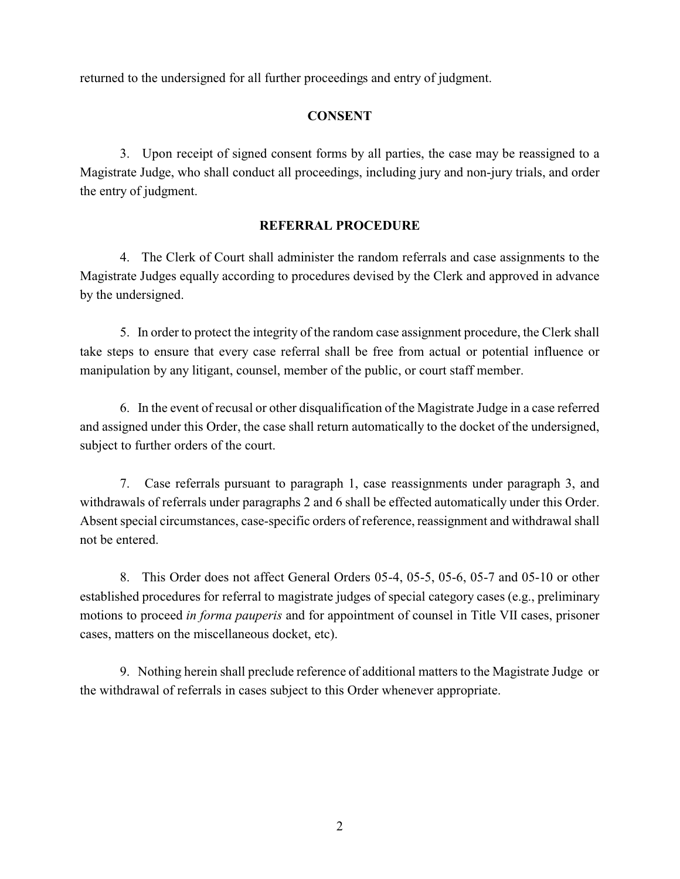returned to the undersigned for all further proceedings and entry of judgment.

## **CONSENT**

3. Upon receipt of signed consent forms by all parties, the case may be reassigned to a Magistrate Judge, who shall conduct all proceedings, including jury and non-jury trials, and order the entry of judgment.

#### **REFERRAL PROCEDURE**

4. The Clerk of Court shall administer the random referrals and case assignments to the Magistrate Judges equally according to procedures devised by the Clerk and approved in advance by the undersigned.

5. In order to protect the integrity of the random case assignment procedure, the Clerk shall take steps to ensure that every case referral shall be free from actual or potential influence or manipulation by any litigant, counsel, member of the public, or court staff member.

6. In the event of recusal or other disqualification of the Magistrate Judge in a case referred and assigned under this Order, the case shall return automatically to the docket of the undersigned, subject to further orders of the court.

7. Case referrals pursuant to paragraph 1, case reassignments under paragraph 3, and withdrawals of referrals under paragraphs 2 and 6 shall be effected automatically under this Order. Absent special circumstances, case-specific orders of reference, reassignment and withdrawal shall not be entered.

8. This Order does not affect General Orders 05-4, 05-5, 05-6, 05-7 and 05-10 or other established procedures for referral to magistrate judges of special category cases (e.g., preliminary motions to proceed *in forma pauperis* and for appointment of counsel in Title VII cases, prisoner cases, matters on the miscellaneous docket, etc).

9. Nothing herein shall preclude reference of additional matters to the Magistrate Judge or the withdrawal of referrals in cases subject to this Order whenever appropriate.